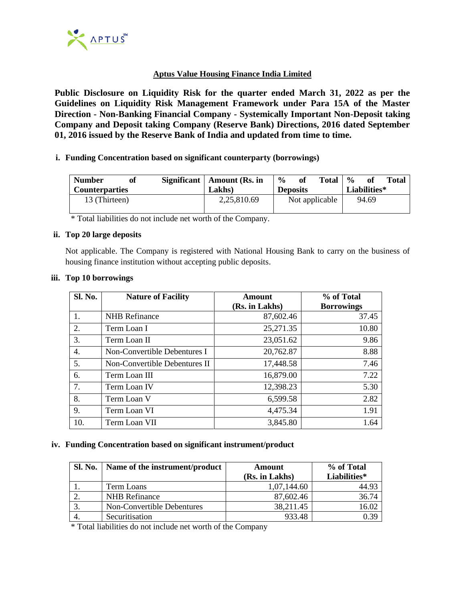

## **Aptus Value Housing Finance India Limited**

**Public Disclosure on Liquidity Risk for the quarter ended March 31, 2022 as per the Guidelines on Liquidity Risk Management Framework under Para 15A of the Master Direction - Non-Banking Financial Company - Systemically Important Non-Deposit taking Company and Deposit taking Company (Reserve Bank) Directions, 2016 dated September 01, 2016 issued by the Reserve Bank of India and updated from time to time.**

### **i. Funding Concentration based on significant counterparty (borrowings)**

| <b>Number</b><br><b>Counterparties</b> | of | Significant   Amount (Rs. in)<br>Lakhs) | $\frac{6}{9}$<br><b>Deposits</b> | of | <b>Total</b>   | $\frac{6}{6}$ | 0f<br>Liabilities* | <b>Total</b> |
|----------------------------------------|----|-----------------------------------------|----------------------------------|----|----------------|---------------|--------------------|--------------|
| 13 (Thirteen)                          |    | 2,25,810.69                             |                                  |    | Not applicable |               | 94.69              |              |

\* Total liabilities do not include net worth of the Company.

#### **ii. Top 20 large deposits**

Not applicable. The Company is registered with National Housing Bank to carry on the business of housing finance institution without accepting public deposits.

| Sl. No. | <b>Nature of Facility</b>     | Amount<br>(Rs. in Lakhs) | % of Total<br><b>Borrowings</b> |  |
|---------|-------------------------------|--------------------------|---------------------------------|--|
| 1.      | <b>NHB</b> Refinance          | 87,602.46                | 37.45                           |  |
| 2.      | Term Loan I                   | 25,271.35                | 10.80                           |  |
| 3.      | Term Loan II                  | 23,051.62                | 9.86                            |  |
| 4.      | Non-Convertible Debentures I  | 20,762.87                | 8.88                            |  |
| 5.      | Non-Convertible Debentures II | 17,448.58                | 7.46                            |  |
| 6.      | Term Loan III                 | 16,879.00                | 7.22                            |  |
| 7.      | Term Loan IV                  | 12,398.23                | 5.30                            |  |
| 8.      | Term Loan V                   | 6,599.58                 | 2.82                            |  |
| 9.      | Term Loan VI                  | 4,475.34                 | 1.91                            |  |
| 10.     | Term Loan VII                 | 3,845.80                 | 1.64                            |  |

### **iii. Top 10 borrowings**

### **iv. Funding Concentration based on significant instrument/product**

| <b>Sl. No.</b> | Name of the instrument/product | Amount         | % of Total   |  |
|----------------|--------------------------------|----------------|--------------|--|
|                |                                | (Rs. in Lakhs) | Liabilities* |  |
|                | Term Loans                     | 1,07,144.60    | 44.93        |  |
|                | <b>NHB</b> Refinance           | 87,602.46      | 36.74        |  |
|                | Non-Convertible Debentures     | 38,211.45      | 16.02        |  |
|                | Securitisation                 | 933.48         |              |  |

\* Total liabilities do not include net worth of the Company